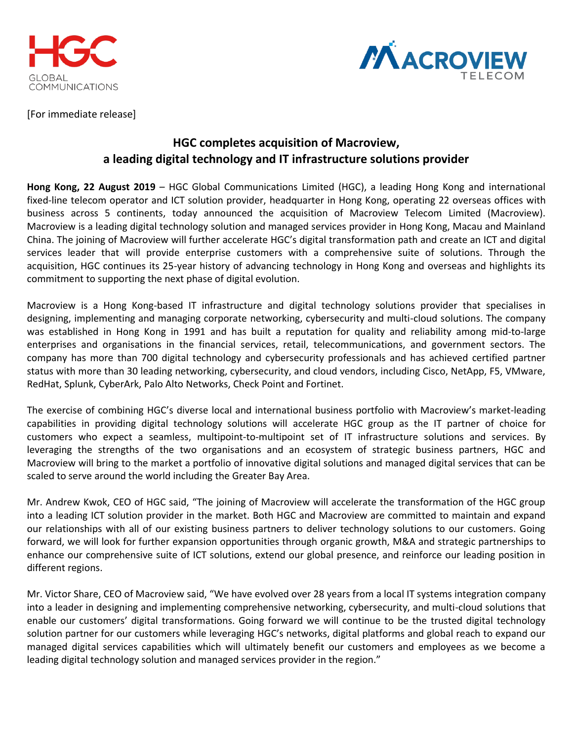



[For immediate release]

## **HGC completes acquisition of Macroview, a leading digital technology and IT infrastructure solutions provider**

**Hong Kong, 22 August 2019** – HGC Global Communications Limited (HGC), a leading Hong Kong and international fixed-line telecom operator and ICT solution provider, headquarter in Hong Kong, operating 22 overseas offices with business across 5 continents, today announced the acquisition of Macroview Telecom Limited (Macroview). Macroview is a leading digital technology solution and managed services provider in Hong Kong, Macau and Mainland China. The joining of Macroview will further accelerate HGC's digital transformation path and create an ICT and digital services leader that will provide enterprise customers with a comprehensive suite of solutions. Through the acquisition, HGC continues its 25-year history of advancing technology in Hong Kong and overseas and highlights its commitment to supporting the next phase of digital evolution.

Macroview is a Hong Kong-based IT infrastructure and digital technology solutions provider that specialises in designing, implementing and managing corporate networking, cybersecurity and multi-cloud solutions. The company was established in Hong Kong in 1991 and has built a reputation for quality and reliability among mid-to-large enterprises and organisations in the financial services, retail, telecommunications, and government sectors. The company has more than 700 digital technology and cybersecurity professionals and has achieved certified partner status with more than 30 leading networking, cybersecurity, and cloud vendors, including Cisco, NetApp, F5, VMware, RedHat, Splunk, CyberArk, Palo Alto Networks, Check Point and Fortinet.

The exercise of combining HGC's diverse local and international business portfolio with Macroview's market-leading capabilities in providing digital technology solutions will accelerate HGC group as the IT partner of choice for customers who expect a seamless, multipoint-to-multipoint set of IT infrastructure solutions and services. By leveraging the strengths of the two organisations and an ecosystem of strategic business partners, HGC and Macroview will bring to the market a portfolio of innovative digital solutions and managed digital services that can be scaled to serve around the world including the Greater Bay Area.

Mr. Andrew Kwok, CEO of HGC said, "The joining of Macroview will accelerate the transformation of the HGC group into a leading ICT solution provider in the market. Both HGC and Macroview are committed to maintain and expand our relationships with all of our existing business partners to deliver technology solutions to our customers. Going forward, we will look for further expansion opportunities through organic growth, M&A and strategic partnerships to enhance our comprehensive suite of ICT solutions, extend our global presence, and reinforce our leading position in different regions.

Mr. Victor Share, CEO of Macroview said, "We have evolved over 28 years from a local IT systems integration company into a leader in designing and implementing comprehensive networking, cybersecurity, and multi-cloud solutions that enable our customers' digital transformations. Going forward we will continue to be the trusted digital technology solution partner for our customers while leveraging HGC's networks, digital platforms and global reach to expand our managed digital services capabilities which will ultimately benefit our customers and employees as we become a leading digital technology solution and managed services provider in the region."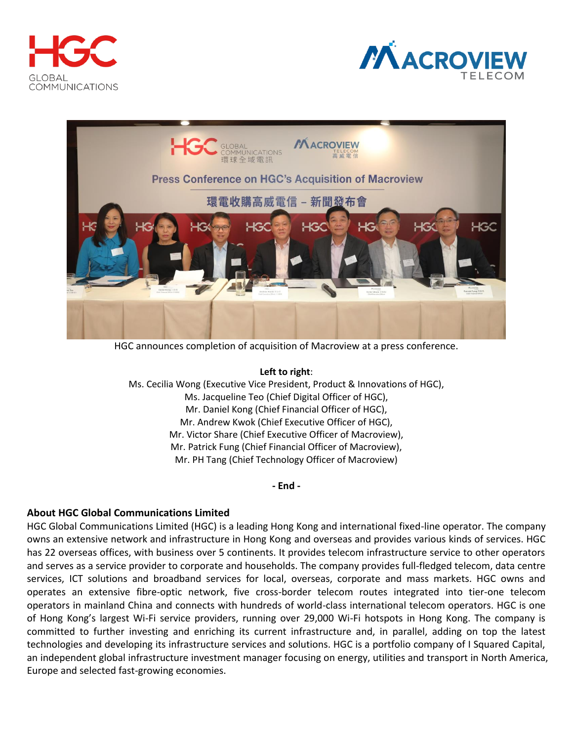





HGC announces completion of acquisition of Macroview at a press conference.

**Left to right**:

Ms. Cecilia Wong (Executive Vice President, Product & Innovations of HGC), Ms. Jacqueline Teo (Chief Digital Officer of HGC), Mr. Daniel Kong (Chief Financial Officer of HGC), Mr. Andrew Kwok (Chief Executive Officer of HGC), Mr. Victor Share (Chief Executive Officer of Macroview), Mr. Patrick Fung (Chief Financial Officer of Macroview), Mr. PH Tang (Chief Technology Officer of Macroview)

**- End -**

## **About HGC Global Communications Limited**

HGC Global Communications Limited (HGC) is a leading Hong Kong and international fixed-line operator. The company owns an extensive network and infrastructure in Hong Kong and overseas and provides various kinds of services. HGC has 22 overseas offices, with business over 5 continents. It provides telecom infrastructure service to other operators and serves as a service provider to corporate and households. The company provides full-fledged telecom, data centre services, ICT solutions and broadband services for local, overseas, corporate and mass markets. HGC owns and operates an extensive fibre-optic network, five cross-border telecom routes integrated into tier-one telecom operators in mainland China and connects with hundreds of world-class international telecom operators. HGC is one of Hong Kong's largest Wi-Fi service providers, running over 29,000 Wi-Fi hotspots in Hong Kong. The company is committed to further investing and enriching its current infrastructure and, in parallel, adding on top the latest technologies and developing its infrastructure services and solutions. HGC is a portfolio company of I Squared Capital, an independent global infrastructure investment manager focusing on energy, utilities and transport in North America, Europe and selected fast-growing economies.